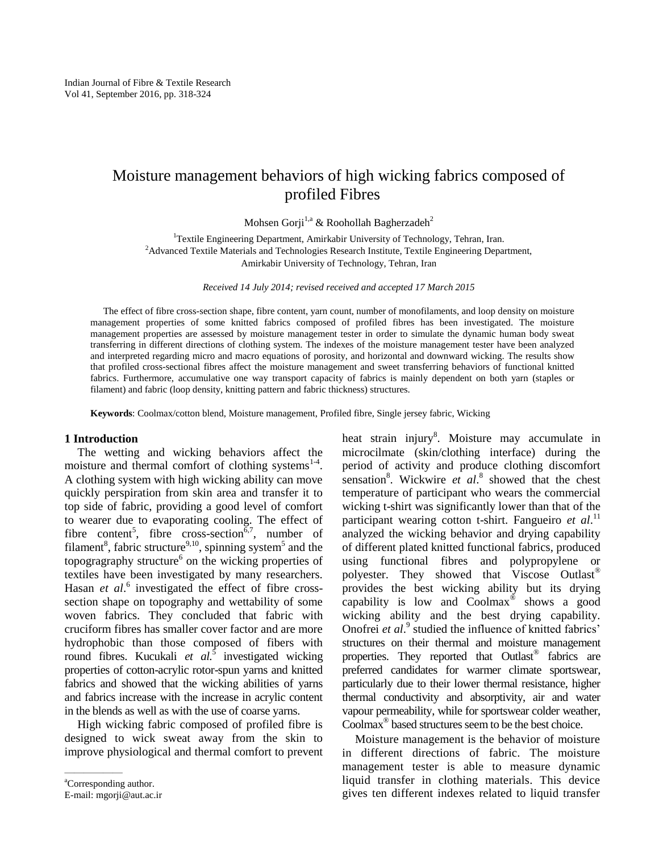# Moisture management behaviors of high wicking fabrics composed of profiled Fibres

Mohsen Gorji<sup>1,a</sup> & Roohollah Bagherzadeh<sup>2</sup>

<sup>1</sup>Textile Engineering Department, Amirkabir University of Technology, Tehran, Iran. <sup>2</sup>Advanced Textile Materials and Technologies Research Institute, Textile Engineering Department, Amirkabir University of Technology, Tehran, Iran

*Received 14 July 2014; revised received and accepted 17 March 2015*

The effect of fibre cross-section shape, fibre content, yarn count, number of monofilaments, and loop density on moisture management properties of some knitted fabrics composed of profiled fibres has been investigated. The moisture management properties are assessed by moisture management tester in order to simulate the dynamic human body sweat transferring in different directions of clothing system. The indexes of the moisture management tester have been analyzed and interpreted regarding micro and macro equations of porosity, and horizontal and downward wicking. The results show that profiled cross-sectional fibres affect the moisture management and sweet transferring behaviors of functional knitted fabrics. Furthermore, accumulative one way transport capacity of fabrics is mainly dependent on both yarn (staples or filament) and fabric (loop density, knitting pattern and fabric thickness) structures.

**Keywords**: Coolmax/cotton blend, Moisture management, Profiled fibre, Single jersey fabric, Wicking

## **1 Introduction**

The wetting and wicking behaviors affect the moisture and thermal comfort of clothing systems $<sup>1-4</sup>$ .</sup> A clothing system with high wicking ability can move quickly perspiration from skin area and transfer it to top side of fabric, providing a good level of comfort to wearer due to evaporating cooling. The effect of fibre content<sup>5</sup>, fibre cross-section<sup> $\bar{6}$ ,7, number of</sup> filament<sup>8</sup>, fabric structure<sup>9,10</sup>, spinning system<sup>5</sup> and the topogragraphy structure<sup>6</sup> on the wicking properties of textiles have been investigated by many researchers. Hasan *et al.*<sup>6</sup> investigated the effect of fibre crosssection shape on topography and wettability of some woven fabrics. They concluded that fabric with cruciform fibres has smaller cover factor and are more hydrophobic than those composed of fibers with round fibres. Kucukali *et al.*<sup>5</sup> investigated wicking properties of cotton-acrylic rotor-spun yarns and knitted fabrics and showed that the wicking abilities of yarns and fabrics increase with the increase in acrylic content in the blends as well as with the use of coarse yarns.

High wicking fabric composed of profiled fibre is designed to wick sweat away from the skin to improve physiological and thermal comfort to prevent

heat strain injury<sup>8</sup>. Moisture may accumulate in microcilmate (skin/clothing interface) during the period of activity and produce clothing discomfort sensation<sup>8</sup>. Wickwire *et al.*<sup>8</sup> showed that the chest temperature of participant who wears the commercial wicking t-shirt was significantly lower than that of the participant wearing cotton t-shirt. Fangueiro et al.<sup>11</sup> analyzed the wicking behavior and drying capability of different plated knitted functional fabrics, produced using functional fibres and polypropylene or polyester. They showed that Viscose Outlast® provides the best wicking ability but its drying capability is low and  $Coolmax^{\circledast}$  shows a good wicking ability and the best drying capability. Onofrei *et al.*<sup>9</sup> studied the influence of knitted fabrics' structures on their thermal and moisture management properties. They reported that Outlast® fabrics are preferred candidates for warmer climate sportswear, particularly due to their lower thermal resistance, higher thermal conductivity and absorptivity, air and water vapour permeability, while for sportswear colder weather, Coolmax® based structures seem to be the best choice.

Moisture management is the behavior of moisture in different directions of fabric. The moisture management tester is able to measure dynamic liquid transfer in clothing materials. This device gives ten different indexes related to liquid transfer

<sup>&</sup>lt;sup>a</sup>Corresponding author.

E-mail: mgorji@aut.ac.ir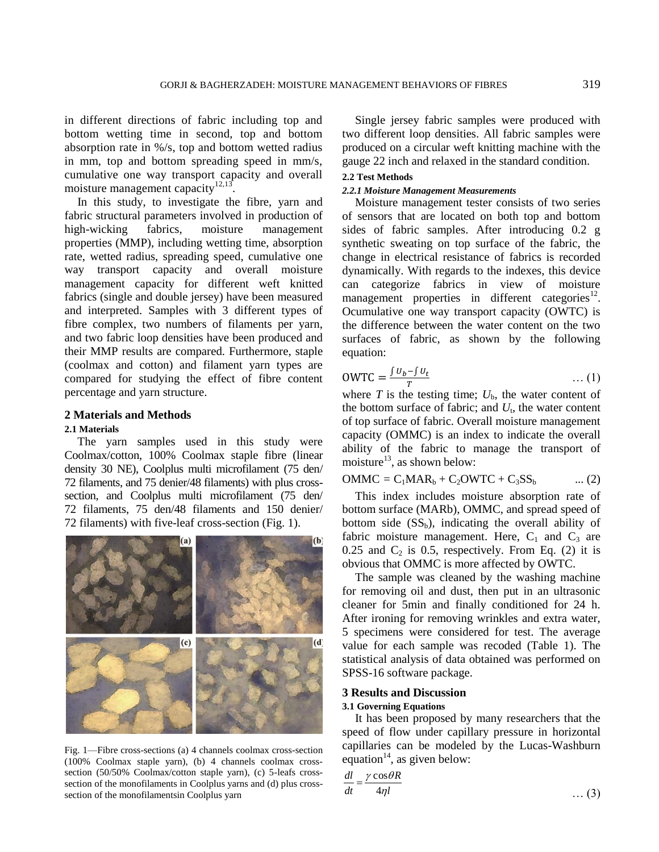in different directions of fabric including top and bottom wetting time in second, top and bottom absorption rate in %/s, top and bottom wetted radius in mm, top and bottom spreading speed in mm/s, cumulative one way transport capacity and overall moisture management capacity<sup>12,13</sup>.

In this study, to investigate the fibre, yarn and fabric structural parameters involved in production of high-wicking fabrics, moisture management properties (MMP), including wetting time, absorption rate, wetted radius, spreading speed, cumulative one way transport capacity and overall moisture management capacity for different weft knitted fabrics (single and double jersey) have been measured and interpreted. Samples with 3 different types of fibre complex, two numbers of filaments per yarn, and two fabric loop densities have been produced and their MMP results are compared. Furthermore, staple (coolmax and cotton) and filament yarn types are compared for studying the effect of fibre content percentage and yarn structure.

# **2 Materials and Methods**

## **2.1 Materials**

The yarn samples used in this study were Coolmax/cotton, 100% Coolmax staple fibre (linear density 30 NE), Coolplus multi microfilament (75 den/ 72 filaments, and 75 denier/48 filaments) with plus crosssection, and Coolplus multi microfilament (75 den/ 72 filaments, 75 den/48 filaments and 150 denier/ 72 filaments) with five-leaf cross-section (Fig. 1).



Fig. 1—Fibre cross-sections (a) 4 channels coolmax cross-section (100% Coolmax staple yarn), (b) 4 channels coolmax crosssection (50/50% Coolmax/cotton staple yarn), (c) 5-leafs crosssection of the monofilaments in Coolplus yarns and (d) plus crosssection of the monofilamentsin Coolplus yarn

Single jersey fabric samples were produced with two different loop densities. All fabric samples were produced on a circular weft knitting machine with the gauge 22 inch and relaxed in the standard condition.

## **2.2 Test Methods**

### *2.2.1 Moisture Management Measurements*

Moisture management tester consists of two series of sensors that are located on both top and bottom sides of fabric samples. After introducing 0.2 g synthetic sweating on top surface of the fabric, the change in electrical resistance of fabrics is recorded dynamically. With regards to the indexes, this device can categorize fabrics in view of moisture management properties in different categories $^{12}$ . Ocumulative one way transport capacity (OWTC) is the difference between the water content on the two surfaces of fabric, as shown by the following equation:

$$
OWTC = \frac{\int u_b - \int u_t}{T}
$$
 ... (1)

where  $T$  is the testing time;  $U<sub>b</sub>$ , the water content of the bottom surface of fabric; and  $U_t$ , the water content of top surface of fabric. Overall moisture management capacity (OMMC) is an index to indicate the overall ability of the fabric to manage the transport of moisture<sup>13</sup>, as shown below:

$$
OMMC = C1MARb + C2OWTC + C3SSb \qquad \dots (2)
$$

This index includes moisture absorption rate of bottom surface (MARb), OMMC, and spread speed of bottom side  $(SS_b)$ , indicating the overall ability of fabric moisture management. Here,  $C_1$  and  $C_3$  are 0.25 and  $C_2$  is 0.5, respectively. From Eq. (2) it is obvious that OMMC is more affected by OWTC.

The sample was cleaned by the washing machine for removing oil and dust, then put in an ultrasonic cleaner for 5min and finally conditioned for 24 h. After ironing for removing wrinkles and extra water, 5 specimens were considered for test. The average value for each sample was recoded (Table 1). The statistical analysis of data obtained was performed on SPSS-16 software package.

## **3 Results and Discussion**

#### **3.1 Governing Equations**

It has been proposed by many researchers that the speed of flow under capillary pressure in horizontal capillaries can be modeled by the Lucas-Washburn equation<sup>14</sup>, as given below:

$$
\frac{dl}{dt} = \frac{\gamma \cos \theta R}{4\eta l} \tag{3}
$$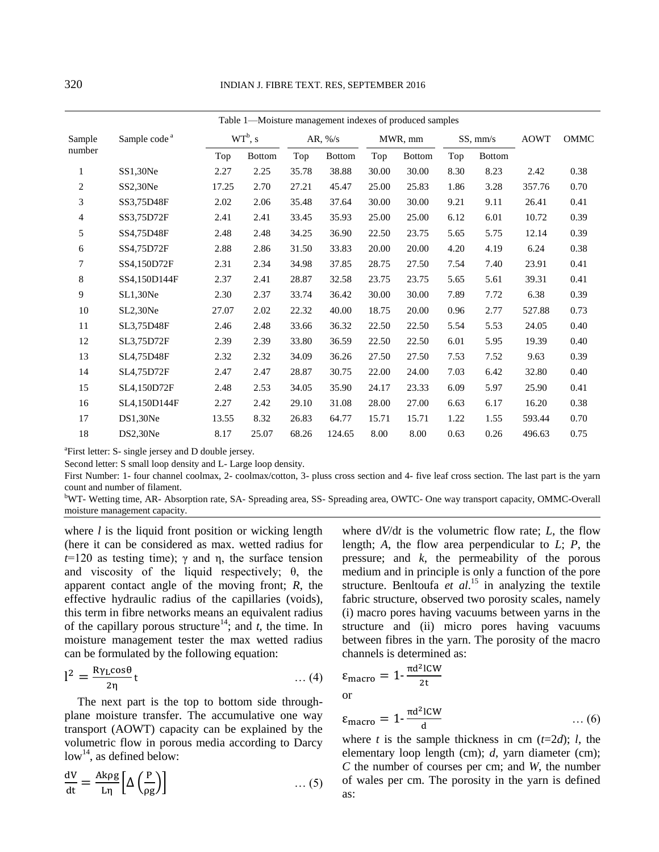| Sample code <sup>a</sup> | $WT^b$ , s |               | AR, $\frac{\%}{s}$ |               | MWR, mm |               | SS, mm/s |               | <b>AOWT</b>                                             | OMMC |  |
|--------------------------|------------|---------------|--------------------|---------------|---------|---------------|----------|---------------|---------------------------------------------------------|------|--|
|                          | Top        | <b>Bottom</b> | Top                | <b>Bottom</b> | Top     | <b>Bottom</b> | Top      | <b>Bottom</b> |                                                         |      |  |
| SS1,30Ne                 | 2.27       | 2.25          | 35.78              | 38.88         | 30.00   | 30.00         | 8.30     | 8.23          | 2.42                                                    | 0.38 |  |
| SS2,30Ne                 | 17.25      | 2.70          | 27.21              | 45.47         | 25.00   | 25.83         | 1.86     | 3.28          | 357.76                                                  | 0.70 |  |
| SS3,75D48F               | 2.02       | 2.06          | 35.48              | 37.64         | 30.00   | 30.00         | 9.21     | 9.11          | 26.41                                                   | 0.41 |  |
| SS3,75D72F               | 2.41       | 2.41          | 33.45              | 35.93         | 25.00   | 25.00         | 6.12     | 6.01          | 10.72                                                   | 0.39 |  |
| SS4.75D48F               | 2.48       | 2.48          | 34.25              | 36.90         | 22.50   | 23.75         | 5.65     | 5.75          | 12.14                                                   | 0.39 |  |
| SS4.75D72F               | 2.88       | 2.86          | 31.50              | 33.83         | 20.00   | 20.00         | 4.20     | 4.19          | 6.24                                                    | 0.38 |  |
| SS4.150D72F              | 2.31       | 2.34          | 34.98              | 37.85         | 28.75   | 27.50         | 7.54     | 7.40          | 23.91                                                   | 0.41 |  |
| SS4,150D144F             | 2.37       | 2.41          | 28.87              | 32.58         | 23.75   | 23.75         | 5.65     | 5.61          | 39.31                                                   | 0.41 |  |
| SL1,30Ne                 | 2.30       | 2.37          | 33.74              | 36.42         | 30.00   | 30.00         | 7.89     | 7.72          | 6.38                                                    | 0.39 |  |
| SL2,30Ne                 | 27.07      | 2.02          | 22.32              | 40.00         | 18.75   | 20.00         | 0.96     | 2.77          | 527.88                                                  | 0.73 |  |
| SL3,75D48F               | 2.46       | 2.48          | 33.66              | 36.32         | 22.50   | 22.50         | 5.54     | 5.53          | 24.05                                                   | 0.40 |  |
| SL3,75D72F               | 2.39       | 2.39          | 33.80              | 36.59         | 22.50   | 22.50         | 6.01     | 5.95          | 19.39                                                   | 0.40 |  |
| SL4,75D48F               | 2.32       | 2.32          | 34.09              | 36.26         | 27.50   | 27.50         | 7.53     | 7.52          | 9.63                                                    | 0.39 |  |
| SL4,75D72F               | 2.47       | 2.47          | 28.87              | 30.75         | 22.00   | 24.00         | 7.03     | 6.42          | 32.80                                                   | 0.40 |  |
| SL4,150D72F              | 2.48       | 2.53          | 34.05              | 35.90         | 24.17   | 23.33         | 6.09     | 5.97          | 25.90                                                   | 0.41 |  |
| SL4,150D144F             | 2.27       | 2.42          | 29.10              | 31.08         | 28.00   | 27.00         | 6.63     | 6.17          | 16.20                                                   | 0.38 |  |
| DS1,30Ne                 | 13.55      | 8.32          | 26.83              | 64.77         | 15.71   | 15.71         | 1.22     | 1.55          | 593.44                                                  | 0.70 |  |
| DS2,30Ne                 | 8.17       | 25.07         | 68.26              | 124.65        | 8.00    | 8.00          | 0.63     | 0.26          | 496.63                                                  | 0.75 |  |
|                          |            |               |                    |               |         |               |          |               | Table 1—Moisture management indexes of produced samples |      |  |

Table 1—Moisture management indexes of produced samples

<sup>a</sup>First letter: S- single jersey and D double jersey.

Second letter: S small loop density and L- Large loop density.

First Number: 1- four channel coolmax, 2- coolmax/cotton, 3- pluss cross section and 4- five leaf cross section. The last part is the yarn count and number of filament.

<sup>b</sup>WT- Wetting time, AR- Absorption rate, SA- Spreading area, SS- Spreading area, OWTC- One way transport capacity, OMMC-Overall moisture management capacity.

where *l* is the liquid front position or wicking length (here it can be considered as max. wetted radius for  $t=120$  as testing time);  $\gamma$  and  $\eta$ , the surface tension and viscosity of the liquid respectively;  $\theta$ , the apparent contact angle of the moving front; *R*, the effective hydraulic radius of the capillaries (voids), this term in fibre networks means an equivalent radius of the capillary porous structure<sup>14</sup>; and *t*, the time. In moisture management tester the max wetted radius can be formulated by the following equation:

$$
l^2 = \frac{R\gamma_L \cos\theta}{2\eta} t \qquad \qquad \dots (4)
$$

The next part is the top to bottom side throughplane moisture transfer. The accumulative one way transport (AOWT) capacity can be explained by the volumetric flow in porous media according to Darcy  $low<sup>14</sup>$ , as defined below:

$$
\frac{dV}{dt} = \frac{Ak\rho g}{L\eta} \left[ \Delta \left( \frac{P}{\rho g} \right) \right] \tag{5}
$$

where d*V*/d*t* is the volumetric flow rate; *L*, the flow length; *A*, the flow area perpendicular to *L*; *P*, the pressure; and *k*, the permeability of the porous medium and in principle is only a function of the pore structure. Benltoufa *et al*. <sup>15</sup> in analyzing the textile fabric structure, observed two porosity scales, namely (i) macro pores having vacuums between yarns in the structure and (ii) micro pores having vacuums between fibres in the yarn. The porosity of the macro channels is determined as:

$$
\varepsilon_{\text{macro}} = 1 - \frac{\pi d^2 \text{ICW}}{2t}
$$
 or

$$
\varepsilon_{\text{macro}} = 1 - \frac{\pi d^2 \text{ICW}}{d} \qquad \qquad \dots (6)
$$

where *t* is the sample thickness in cm  $(t=2d)$ ; *l*, the elementary loop length (cm); *d*, yarn diameter (cm); *C* the number of courses per cm; and *W*, the number of wales per cm. The porosity in the yarn is defined as: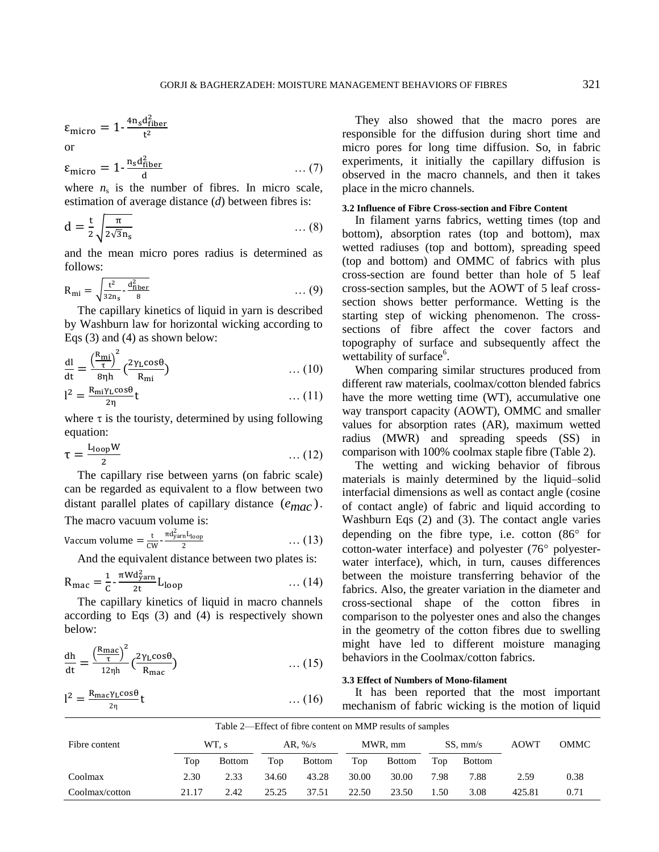$$
\varepsilon_{\text{micro}} = 1 - \frac{4n_{\text{sd}}^2}{t^2}
$$
 or

$$
\varepsilon_{\text{micro}} = 1 - \frac{n_{\text{s}} d_{\text{fiber}}^2}{d} \qquad \qquad \dots (7)
$$

where  $n<sub>s</sub>$  is the number of fibres. In micro scale, estimation of average distance (*d*) between fibres is:

$$
d = \frac{t}{2} \sqrt{\frac{\pi}{2\sqrt{3}n_s}}
$$
 ... (8)

and the mean micro pores radius is determined as follows:

$$
R_{\rm mi} = \sqrt{\frac{t^2}{32n_s} - \frac{d_{\rm fiber}^2}{8}} \qquad \qquad \dots (9)
$$

The capillary kinetics of liquid in yarn is described by Washburn law for horizontal wicking according to Eqs (3) and (4) as shown below:

$$
\frac{dl}{dt} = \frac{\left(\frac{R_{\rm mi}}{\tau}\right)^2}{8\eta h} \left(\frac{2\gamma_L \cos\theta}{R_{\rm mi}}\right) \tag{10}
$$

$$
l^2 = \frac{R_{mi}\gamma_L \cos\theta}{2\eta} t \qquad \qquad \dots (11)
$$

where  $\tau$  is the touristy, determined by using following equation:

$$
\tau = \frac{L_{\text{loop}}W}{2} \tag{12}
$$

The capillary rise between yarns (on fabric scale) can be regarded as equivalent to a flow between two distant parallel plates of capillary distance (*emac* ). The macro vacuum volume is:

$$
V_{\text{2}} = \frac{t}{\pi d_{\text{yarn}}^2 L_{\text{loop}}}
$$

$$
Vaccum volume = \frac{t}{cw} - \frac{10v_{\text{param-1loop}}}{2} \dots (13)
$$

And the equivalent distance between two plates is:

$$
R_{\text{mac}} = \frac{1}{c} - \frac{\pi W d_{\text{yarn}}^2}{2t} L_{\text{loop}} \tag{14}
$$

The capillary kinetics of liquid in macro channels according to Eqs (3) and (4) is respectively shown below:

$$
\frac{dh}{dt} = \frac{\left(\frac{R_{\text{mac}}}{\tau}\right)^2}{12\eta h} \left(\frac{2\gamma_L \cos\theta}{R_{\text{mac}}}\right) \tag{15}
$$

$$
l^2 = \frac{R_{\text{mac}} \gamma_L \cos \theta}{2\eta} t \qquad \qquad \dots (16)
$$

They also showed that the macro pores are responsible for the diffusion during short time and micro pores for long time diffusion. So, in fabric experiments, it initially the capillary diffusion is observed in the macro channels, and then it takes place in the micro channels.

## **3.2 Influence of Fibre Cross-section and Fibre Content**

In filament yarns fabrics, wetting times (top and bottom), absorption rates (top and bottom), max wetted radiuses (top and bottom), spreading speed (top and bottom) and OMMC of fabrics with plus cross-section are found better than hole of 5 leaf cross-section samples, but the AOWT of 5 leaf crosssection shows better performance. Wetting is the starting step of wicking phenomenon. The crosssections of fibre affect the cover factors and topography of surface and subsequently affect the wettability of surface<sup>6</sup>.

When comparing similar structures produced from different raw materials, coolmax/cotton blended fabrics have the more wetting time (WT), accumulative one way transport capacity (AOWT), OMMC and smaller values for absorption rates (AR), maximum wetted radius (MWR) and spreading speeds (SS) in comparison with 100% coolmax staple fibre (Table 2).

The wetting and wicking behavior of fibrous materials is mainly determined by the liquid–solid interfacial dimensions as well as contact angle (cosine of contact angle) of fabric and liquid according to Washburn Eqs (2) and (3). The contact angle varies depending on the fibre type, i.e. cotton  $(86^{\circ}$  for cotton-water interface) and polyester  $(76^{\circ}$  polyesterwater interface), which, in turn, causes differences between the moisture transferring behavior of the fabrics. Also, the greater variation in the diameter and cross-sectional shape of the cotton fibres in comparison to the polyester ones and also the changes in the geometry of the cotton fibres due to swelling might have led to different moisture managing behaviors in the Coolmax/cotton fabrics.

## **3.3 Effect of Numbers of Mono-filament**

It has been reported that the most important mechanism of fabric wicking is the motion of liquid

| Table 2—Effect of fibre content on MMP results of samples |       |               |                    |               |         |               |            |               |        |      |
|-----------------------------------------------------------|-------|---------------|--------------------|---------------|---------|---------------|------------|---------------|--------|------|
| Fibre content                                             | WT. s |               | AR, $\frac{\%}{s}$ |               | MWR, mm |               | $SS.$ mm/s |               | AOWT   | OMMC |
|                                                           | Top   | <b>Bottom</b> | Top                | <b>Bottom</b> | Top     | <b>Bottom</b> | Top        | <b>Bottom</b> |        |      |
| Coolmax                                                   | 2.30  | 2.33          | 34.60              | 43.28         | 30.00   | 30.00         | 7.98       | 7.88          | 2.59   | 0.38 |
| Coolmax/cotton                                            | 21.17 | 2.42          | 25.25              | 37.51         | 22.50   | 23.50         | . .50      | 3.08          | 425.81 | 0.71 |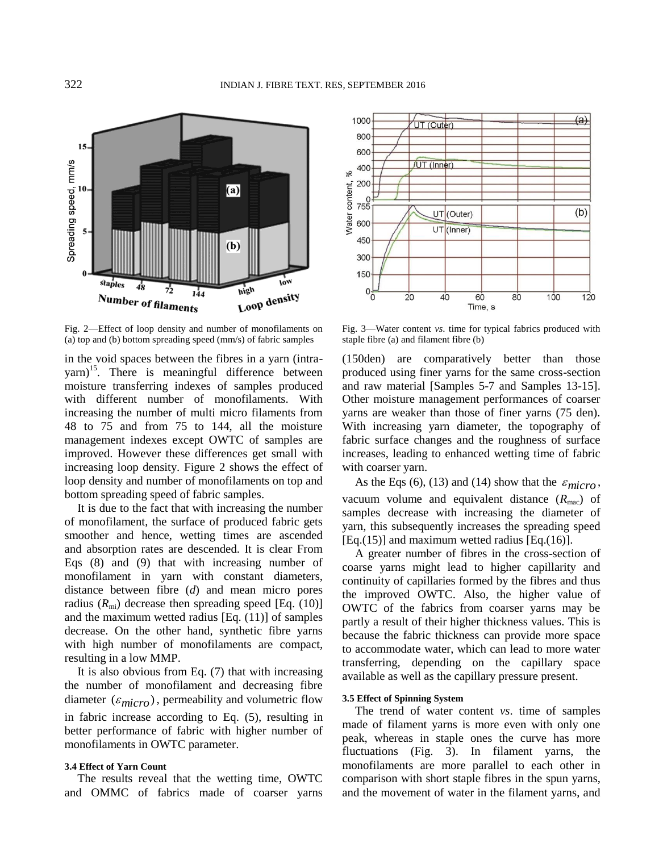

Fig. 2—Effect of loop density and number of monofilaments on (a) top and (b) bottom spreading speed (mm/s) of fabric samples

in the void spaces between the fibres in a yarn (intrayarn)<sup>15</sup>. There is meaningful difference between moisture transferring indexes of samples produced with different number of monofilaments. With increasing the number of multi micro filaments from 48 to 75 and from 75 to 144, all the moisture management indexes except OWTC of samples are improved. However these differences get small with increasing loop density. Figure 2 shows the effect of loop density and number of monofilaments on top and bottom spreading speed of fabric samples.

It is due to the fact that with increasing the number of monofilament, the surface of produced fabric gets smoother and hence, wetting times are ascended and absorption rates are descended. It is clear From Eqs (8) and (9) that with increasing number of monofilament in yarn with constant diameters, distance between fibre (*d*) and mean micro pores radius  $(R_{mi})$  decrease then spreading speed [Eq. (10)] and the maximum wetted radius [Eq. (11)] of samples decrease. On the other hand, synthetic fibre yarns with high number of monofilaments are compact, resulting in a low MMP.

It is also obvious from Eq. (7) that with increasing the number of monofilament and decreasing fibre diameter  $(\varepsilon_{micro})$ , permeability and volumetric flow in fabric increase according to Eq. (5), resulting in better performance of fabric with higher number of monofilaments in OWTC parameter.

#### **3.4 Effect of Yarn Count**

The results reveal that the wetting time, OWTC and OMMC of fabrics made of coarser yarns



Fig. 3—Water content *vs*. time for typical fabrics produced with staple fibre (a) and filament fibre (b)

(150den) are comparatively better than those produced using finer yarns for the same cross-section and raw material [Samples 5-7 and Samples 13-15]. Other moisture management performances of coarser yarns are weaker than those of finer yarns (75 den). With increasing yarn diameter, the topography of fabric surface changes and the roughness of surface increases, leading to enhanced wetting time of fabric with coarser yarn.

As the Eqs (6), (13) and (14) show that the  $\varepsilon_{micro}$ , vacuum volume and equivalent distance  $(R<sub>mac</sub>)$  of samples decrease with increasing the diameter of yarn, this subsequently increases the spreading speed  $[Eq.(15)]$  and maximum wetted radius  $[Eq.(16)]$ .

A greater number of fibres in the cross-section of coarse yarns might lead to higher capillarity and continuity of capillaries formed by the fibres and thus the improved OWTC. Also, the higher value of OWTC of the fabrics from coarser yarns may be partly a result of their higher thickness values. This is because the fabric thickness can provide more space to accommodate water, which can lead to more water transferring, depending on the capillary space available as well as the capillary pressure present.

#### **3.5 Effect of Spinning System**

The trend of water content *vs*. time of samples made of filament yarns is more even with only one peak, whereas in staple ones the curve has more fluctuations (Fig. 3). In filament yarns, the monofilaments are more parallel to each other in comparison with short staple fibres in the spun yarns, and the movement of water in the filament yarns, and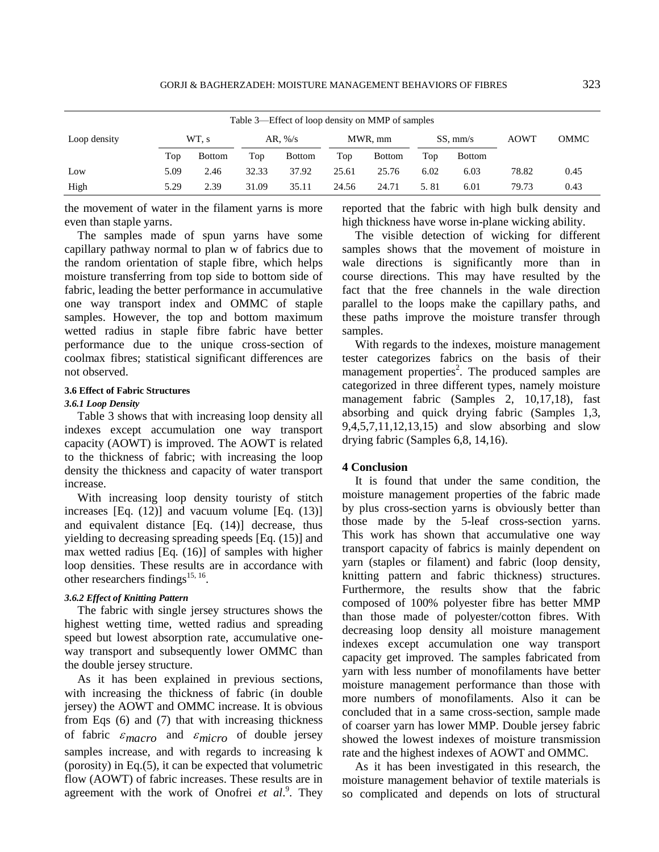| Table 3—Effect of loop density on MMP of samples |      |               |       |                    |       |               |      |                      |       |      |
|--------------------------------------------------|------|---------------|-------|--------------------|-------|---------------|------|----------------------|-------|------|
| Loop density                                     |      | WT, s         |       | AR, $\frac{\%}{s}$ |       | MWR, mm       |      | $SS, \, \text{mm/s}$ |       | OMMC |
|                                                  | Top  | <b>Bottom</b> | Top   | <b>Bottom</b>      | Top   | <b>Bottom</b> | Top  | <b>Bottom</b>        |       |      |
| Low                                              | 5.09 | 2.46          | 32.33 | 37.92              | 25.61 | 25.76         | 6.02 | 6.03                 | 78.82 | 0.45 |
| High                                             | 5.29 | 2.39          | 31.09 | 35.11              | 24.56 | 24.71         | 5.81 | 6.01                 | 79.73 | 0.43 |

the movement of water in the filament yarns is more even than staple yarns.

The samples made of spun yarns have some capillary pathway normal to plan w of fabrics due to the random orientation of staple fibre, which helps moisture transferring from top side to bottom side of fabric, leading the better performance in accumulative one way transport index and OMMC of staple samples. However, the top and bottom maximum wetted radius in staple fibre fabric have better performance due to the unique cross-section of coolmax fibres; statistical significant differences are not observed.

#### **3.6 Effect of Fabric Structures**

#### *3.6.1 Loop Density*

Table 3 shows that with increasing loop density all indexes except accumulation one way transport capacity (AOWT) is improved. The AOWT is related to the thickness of fabric; with increasing the loop density the thickness and capacity of water transport increase.

With increasing loop density touristy of stitch increases  $[Eq. (12)]$  and vacuum volume  $[Eq. (13)]$ and equivalent distance [Eq. (14)] decrease, thus yielding to decreasing spreading speeds [Eq. (15)] and max wetted radius [Eq. (16)] of samples with higher loop densities. These results are in accordance with other researchers findings<sup>15, 16</sup>.

### *3.6.2 Effect of Knitting Pattern*

The fabric with single jersey structures shows the highest wetting time, wetted radius and spreading speed but lowest absorption rate, accumulative oneway transport and subsequently lower OMMC than the double jersey structure.

As it has been explained in previous sections, with increasing the thickness of fabric (in double jersey) the AOWT and OMMC increase. It is obvious from Eqs (6) and (7) that with increasing thickness of fabric  $\varepsilon_{macro}$  and  $\varepsilon_{micro}$  of double jersey samples increase, and with regards to increasing k (porosity) in Eq.(5), it can be expected that volumetric flow (AOWT) of fabric increases. These results are in agreement with the work of Onofrei *et al.*<sup>9</sup>. They reported that the fabric with high bulk density and high thickness have worse in-plane wicking ability.

The visible detection of wicking for different samples shows that the movement of moisture in wale directions is significantly more than in course directions. This may have resulted by the fact that the free channels in the wale direction parallel to the loops make the capillary paths, and these paths improve the moisture transfer through samples.

With regards to the indexes, moisture management tester categorizes fabrics on the basis of their management properties<sup>2</sup>. The produced samples are categorized in three different types, namely moisture management fabric (Samples 2, 10,17,18), fast absorbing and quick drying fabric (Samples 1,3, 9,4,5,7,11,12,13,15) and slow absorbing and slow drying fabric (Samples 6,8, 14,16).

#### **4 Conclusion**

It is found that under the same condition, the moisture management properties of the fabric made by plus cross-section yarns is obviously better than those made by the 5-leaf cross-section yarns. This work has shown that accumulative one way transport capacity of fabrics is mainly dependent on yarn (staples or filament) and fabric (loop density, knitting pattern and fabric thickness) structures. Furthermore, the results show that the fabric composed of 100% polyester fibre has better MMP than those made of polyester/cotton fibres. With decreasing loop density all moisture management indexes except accumulation one way transport capacity get improved. The samples fabricated from yarn with less number of monofilaments have better moisture management performance than those with more numbers of monofilaments. Also it can be concluded that in a same cross-section, sample made of coarser yarn has lower MMP. Double jersey fabric showed the lowest indexes of moisture transmission rate and the highest indexes of AOWT and OMMC.

As it has been investigated in this research, the moisture management behavior of textile materials is so complicated and depends on lots of structural